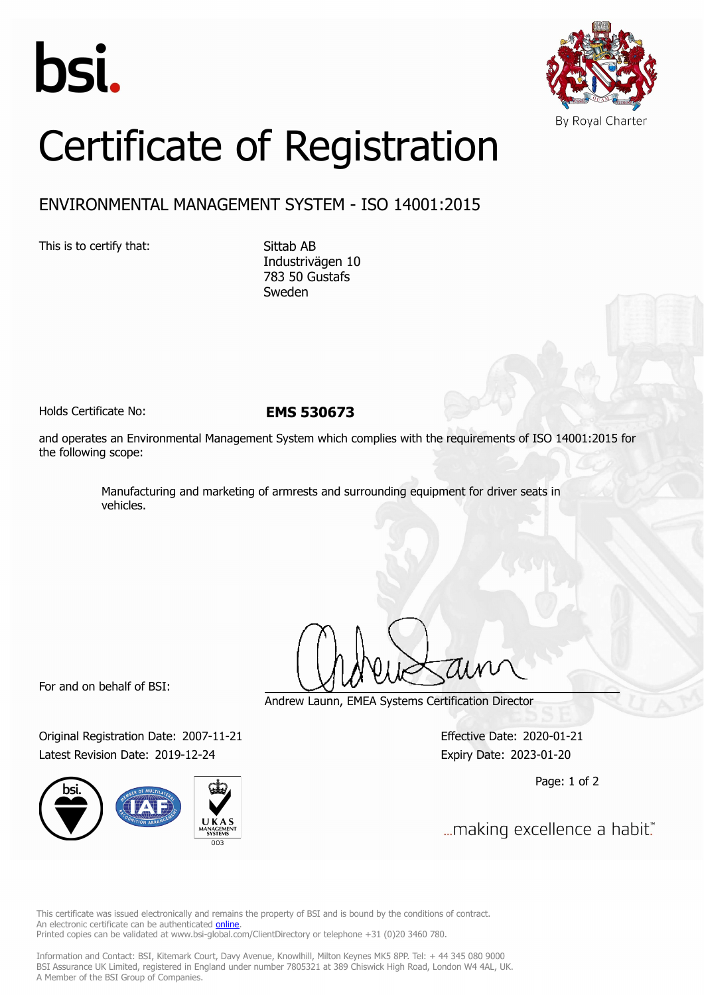



## Certificate of Registration

## ENVIRONMENTAL MANAGEMENT SYSTEM - ISO 14001:2015

This is to certify that: Sittab AB

Industrivägen 10 783 50 Gustafs Sweden

Holds Certificate No: **EMS 530673**

and operates an Environmental Management System which complies with the requirements of ISO 14001:2015 for the following scope:

> Manufacturing and marketing of armrests and surrounding equipment for driver seats in vehicles.

For and on behalf of BSI:

Original Registration Date: 2007-11-21 Effective Date: 2020-01-21 Latest Revision Date: 2019-12-24 Expiry Date: 2023-01-20



Andrew Launn, EMEA Systems Certification Director

Page: 1 of 2

... making excellence a habit."

This certificate was issued electronically and remains the property of BSI and is bound by the conditions of contract. An electronic certificate can be authenticated **[online](https://pgplus.bsigroup.com/CertificateValidation/CertificateValidator.aspx?CertificateNumber=EMS+530673&ReIssueDate=24%2f12%2f2019&Template=cemea_en)**. Printed copies can be validated at www.bsi-global.com/ClientDirectory or telephone +31 (0)20 3460 780.

Information and Contact: BSI, Kitemark Court, Davy Avenue, Knowlhill, Milton Keynes MK5 8PP. Tel: + 44 345 080 9000 BSI Assurance UK Limited, registered in England under number 7805321 at 389 Chiswick High Road, London W4 4AL, UK. A Member of the BSI Group of Companies.